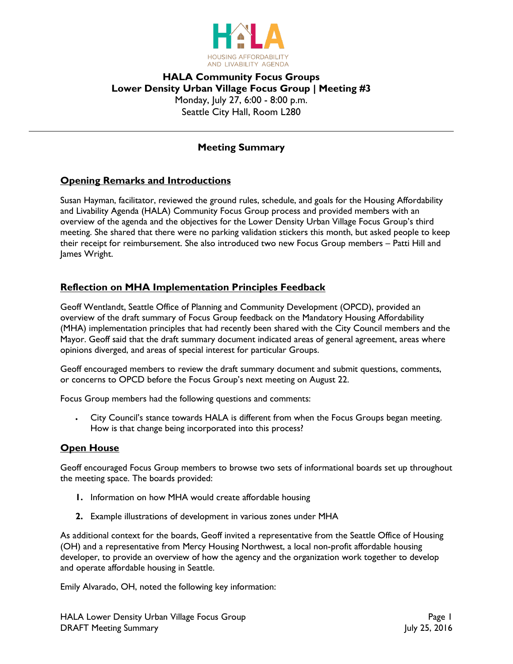

# **HALA Community Focus Groups Lower Density Urban Village Focus Group | Meeting #3** Monday, July 27, 6:00 - 8:00 p.m. Seattle City Hall, Room L280

# **Meeting Summary**

## **Opening Remarks and Introductions**

Susan Hayman, facilitator, reviewed the ground rules, schedule, and goals for the Housing Affordability and Livability Agenda (HALA) Community Focus Group process and provided members with an overview of the agenda and the objectives for the Lower Density Urban Village Focus Group's third meeting. She shared that there were no parking validation stickers this month, but asked people to keep their receipt for reimbursement. She also introduced two new Focus Group members – Patti Hill and James Wright.

## **Reflection on MHA Implementation Principles Feedback**

Geoff Wentlandt, Seattle Office of Planning and Community Development (OPCD), provided an overview of the draft summary of Focus Group feedback on the Mandatory Housing Affordability (MHA) implementation principles that had recently been shared with the City Council members and the Mayor. Geoff said that the draft summary document indicated areas of general agreement, areas where opinions diverged, and areas of special interest for particular Groups.

Geoff encouraged members to review the draft summary document and submit questions, comments, or concerns to OPCD before the Focus Group's next meeting on August 22.

Focus Group members had the following questions and comments:

 City Council's stance towards HALA is different from when the Focus Groups began meeting. How is that change being incorporated into this process?

### **Open House**

Geoff encouraged Focus Group members to browse two sets of informational boards set up throughout the meeting space. The boards provided:

- **1.** Information on how MHA would create affordable housing
- **2.** Example illustrations of development in various zones under MHA

As additional context for the boards, Geoff invited a representative from the Seattle Office of Housing (OH) and a representative from Mercy Housing Northwest, a local non-profit affordable housing developer, to provide an overview of how the agency and the organization work together to develop and operate affordable housing in Seattle.

Emily Alvarado, OH, noted the following key information: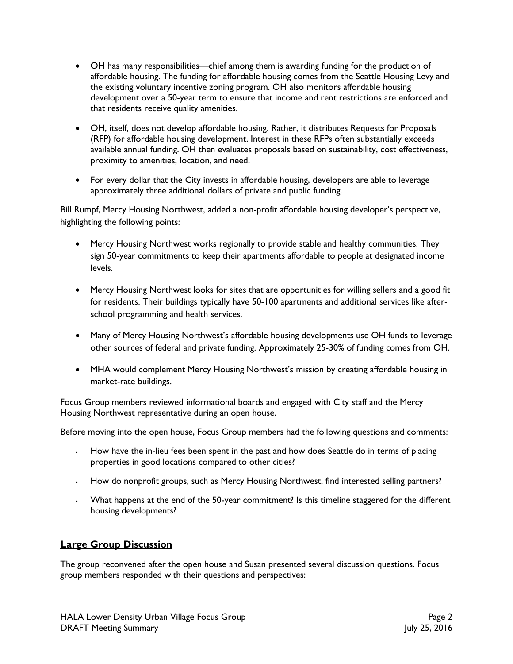- OH has many responsibilities—chief among them is awarding funding for the production of affordable housing. The funding for affordable housing comes from the Seattle Housing Levy and the existing voluntary incentive zoning program. OH also monitors affordable housing development over a 50-year term to ensure that income and rent restrictions are enforced and that residents receive quality amenities.
- OH, itself, does not develop affordable housing. Rather, it distributes Requests for Proposals (RFP) for affordable housing development. Interest in these RFPs often substantially exceeds available annual funding. OH then evaluates proposals based on sustainability, cost effectiveness, proximity to amenities, location, and need.
- For every dollar that the City invests in affordable housing, developers are able to leverage approximately three additional dollars of private and public funding.

Bill Rumpf, Mercy Housing Northwest, added a non-profit affordable housing developer's perspective, highlighting the following points:

- Mercy Housing Northwest works regionally to provide stable and healthy communities. They sign 50-year commitments to keep their apartments affordable to people at designated income levels.
- Mercy Housing Northwest looks for sites that are opportunities for willing sellers and a good fit for residents. Their buildings typically have 50-100 apartments and additional services like afterschool programming and health services.
- Many of Mercy Housing Northwest's affordable housing developments use OH funds to leverage other sources of federal and private funding. Approximately 25-30% of funding comes from OH.
- MHA would complement Mercy Housing Northwest's mission by creating affordable housing in market-rate buildings.

Focus Group members reviewed informational boards and engaged with City staff and the Mercy Housing Northwest representative during an open house.

Before moving into the open house, Focus Group members had the following questions and comments:

- How have the in-lieu fees been spent in the past and how does Seattle do in terms of placing properties in good locations compared to other cities?
- How do nonprofit groups, such as Mercy Housing Northwest, find interested selling partners?
- What happens at the end of the 50-year commitment? Is this timeline staggered for the different housing developments?

## **Large Group Discussion**

The group reconvened after the open house and Susan presented several discussion questions. Focus group members responded with their questions and perspectives: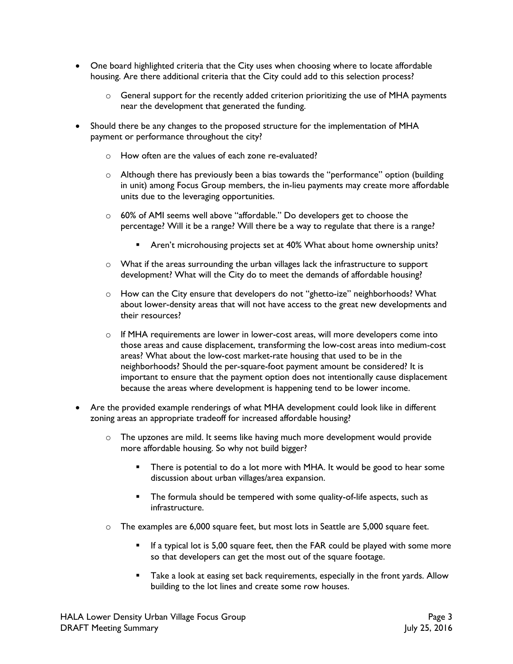- One board highlighted criteria that the City uses when choosing where to locate affordable housing. Are there additional criteria that the City could add to this selection process?
	- $\circ$  General support for the recently added criterion prioritizing the use of MHA payments near the development that generated the funding.
- Should there be any changes to the proposed structure for the implementation of MHA payment or performance throughout the city?
	- o How often are the values of each zone re-evaluated?
	- o Although there has previously been a bias towards the "performance" option (building in unit) among Focus Group members, the in-lieu payments may create more affordable units due to the leveraging opportunities.
	- o 60% of AMI seems well above "affordable." Do developers get to choose the percentage? Will it be a range? Will there be a way to regulate that there is a range?
		- Aren't microhousing projects set at 40% What about home ownership units?
	- o What if the areas surrounding the urban villages lack the infrastructure to support development? What will the City do to meet the demands of affordable housing?
	- o How can the City ensure that developers do not "ghetto-ize" neighborhoods? What about lower-density areas that will not have access to the great new developments and their resources?
	- $\circ$  If MHA requirements are lower in lower-cost areas, will more developers come into those areas and cause displacement, transforming the low-cost areas into medium-cost areas? What about the low-cost market-rate housing that used to be in the neighborhoods? Should the per-square-foot payment amount be considered? It is important to ensure that the payment option does not intentionally cause displacement because the areas where development is happening tend to be lower income.
- Are the provided example renderings of what MHA development could look like in different zoning areas an appropriate tradeoff for increased affordable housing?
	- $\circ$  The upzones are mild. It seems like having much more development would provide more affordable housing. So why not build bigger?
		- There is potential to do a lot more with MHA. It would be good to hear some discussion about urban villages/area expansion.
		- **The formula should be tempered with some quality-of-life aspects, such as** infrastructure.
	- $\circ$  The examples are 6,000 square feet, but most lots in Seattle are 5,000 square feet.
		- If a typical lot is 5,00 square feet, then the FAR could be played with some more so that developers can get the most out of the square footage.
		- Take a look at easing set back requirements, especially in the front yards. Allow building to the lot lines and create some row houses.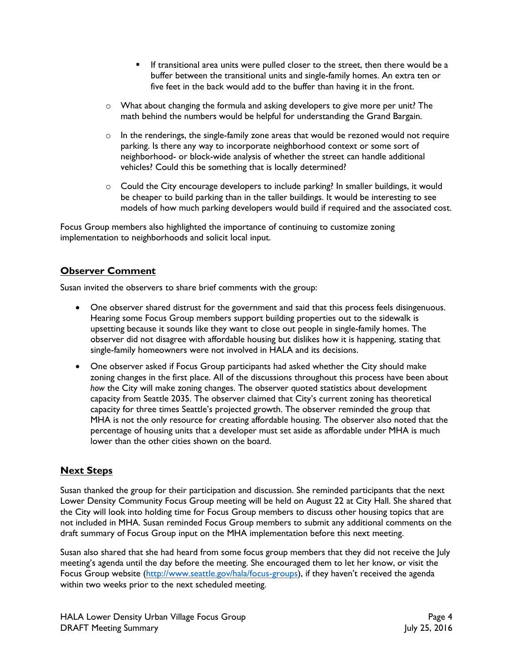- If transitional area units were pulled closer to the street, then there would be a buffer between the transitional units and single-family homes. An extra ten or five feet in the back would add to the buffer than having it in the front.
- $\circ$  What about changing the formula and asking developers to give more per unit? The math behind the numbers would be helpful for understanding the Grand Bargain.
- $\circ$  In the renderings, the single-family zone areas that would be rezoned would not require parking. Is there any way to incorporate neighborhood context or some sort of neighborhood- or block-wide analysis of whether the street can handle additional vehicles? Could this be something that is locally determined?
- $\circ$  Could the City encourage developers to include parking? In smaller buildings, it would be cheaper to build parking than in the taller buildings. It would be interesting to see models of how much parking developers would build if required and the associated cost.

Focus Group members also highlighted the importance of continuing to customize zoning implementation to neighborhoods and solicit local input.

## **Observer Comment**

Susan invited the observers to share brief comments with the group:

- One observer shared distrust for the government and said that this process feels disingenuous. Hearing some Focus Group members support building properties out to the sidewalk is upsetting because it sounds like they want to close out people in single-family homes. The observer did not disagree with affordable housing but dislikes how it is happening, stating that single-family homeowners were not involved in HALA and its decisions.
- One observer asked if Focus Group participants had asked whether the City should make zoning changes in the first place. All of the discussions throughout this process have been about *how* the City will make zoning changes. The observer quoted statistics about development capacity from Seattle 2035. The observer claimed that City's current zoning has theoretical capacity for three times Seattle's projected growth. The observer reminded the group that MHA is not the only resource for creating affordable housing. The observer also noted that the percentage of housing units that a developer must set aside as affordable under MHA is much lower than the other cities shown on the board.

## **Next Steps**

Susan thanked the group for their participation and discussion. She reminded participants that the next Lower Density Community Focus Group meeting will be held on August 22 at City Hall. She shared that the City will look into holding time for Focus Group members to discuss other housing topics that are not included in MHA. Susan reminded Focus Group members to submit any additional comments on the draft summary of Focus Group input on the MHA implementation before this next meeting.

Susan also shared that she had heard from some focus group members that they did not receive the July meeting's agenda until the day before the meeting. She encouraged them to let her know, or visit the Focus Group website [\(http://www.seattle.gov/hala/focus-groups\)](http://www.seattle.gov/hala/focus-groups), if they haven't received the agenda within two weeks prior to the next scheduled meeting.